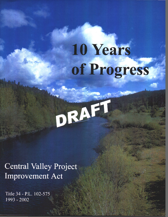10 Years of Progress

DRAFT

**Central Valley Project Improvement Act** 

Title 34 - P.L. 102-575 1993 - 2002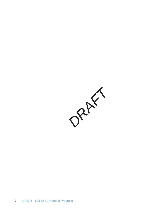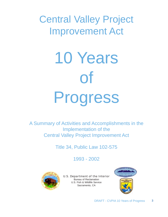# Central Valley Project Improvement Act



A Summary of Activities and Accomplishments in the Implementation of the Central Valley Project Improvement Act

Title 34, Public Law 102-575

1993 - 2002



U.S. Department of the Interior Bureau of Reclamation U.S. Fish & Wildlife Service Sacramento, CA

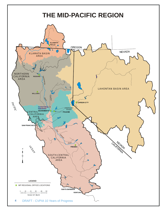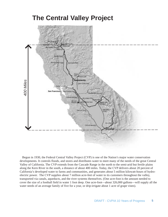## **The Central Valley Project**



Begun in 1930, the Federal Central Valley Project (CVP) is one of the Nation's major water conservation developments. It controls floods, and stores and distributes water to meet many of the needs of the great Central Valley of California. The CVP extends from the Cascade Range in the north to the semi-arid but fertile plains along the Kern River in the south, a distance of about 400 miles. Today, the CVP delivers about 20 percent of California's developed water to farms and communities, and generates about 5 million kilowatt-hours of hydroelectric power. The CVP supplies about 7 million acre-feet of water to its customers throughout the valley, transported via canals, aqueducts, and the river systems themselves. (One acre-foot is the amount needed to cover the size of a football field in water 1 foot deep. One acre-foot—about 326,000 gallons—will supply all the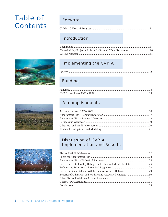## Table of **Contents**







## Forward

|--|--|

## Introduction

| Central Valley Project's Role in California's Water Resources  10 |  |
|-------------------------------------------------------------------|--|
|                                                                   |  |

## Implementing the CVPIA

|--|

## Funding

## Accomplishments

## Discussion of CVPIA Implementation and Results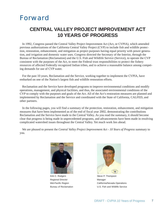## Forward

## **CENTRAL VALLEY PROJECT IMPROVEMENT ACT 10 YEARS OF PROGRESS**

In 1992, Congress passed the Central Valley Project Improvement Act (Act, or CVPIA), which amended previous authorizations of the California Central Valley Project (CVP) to include fish and wildlife protection, restoration, enhancement, and mitigation as project purposes having equal priority with power generation, and irrigation and domestic water uses. Congress directed the Secretary of the Interior, through the Bureau of Reclamation (Reclamation) and the U.S. Fish and Wildlife Service (Service), to operate the CVP consistent with the purposes of the Act, to meet the Federal trust responsibilities to protect the fishery resources of affected Federally recognized Indian tribes, and to achieve a reasonable balance among competing demands for use of CVP water.

For the past 10 years, Reclamation and the Service, working together to implement the CVPIA, have embarked on one of the Nation's largest fish and wildlife restoration efforts.

Reclamation and the Service have developed programs to improve environmental conditions and modify operations, management, and physical facilities, and thus, the associated environmental conditions of the CVP to comply with the purposes and goals of the Act. All of the Act's restoration measures are planned and implemented by Reclamation and the Service and coordinated with the State of California, CALFED, and other partners.

In the following pages, you will find a summary of the protection, restoration, enhancement, and mitigation measures that have been implemented as of the end of fiscal year 2002, demonstrating the contributions Reclamation and the Service have made to the Central Valley. As you read the summary, it should become clear that progress is being made in unprecedented programs, and advancements have been made in resolving complicated watershed issues throughout the Central Valley. Yet much work lies ahead.

We are pleased to present the *Central Valley Project Improvement Act - 10 Years of Progress* summary to you.



Kirk C. Rodgers **Steve P. Thompson** Regional Director **Manager** Manager



Mid-Pacific Region **Mid-Pacific Region** California/Nevada Operations Bureau of Reclamation U.S. Fish and Wildlife Service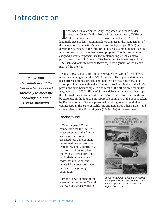## Introduction

*Since 1992, Reclamation and the Service have worked tirelessly to meet the challenges that the CVPIA presents.*

It has been 10 years since Congress passed, and the President signed, the Central Valley Project Improvement Act (CVPIA or Act). Officially known as Title 34 of Public Law 102-575, this landmark piece of legislation mandat t has been 10 years since Congress passed, and the President signed, the Central Valley Project Improvement Act (CVPIA or Act). Officially known as Title 34 of Public Law 102-575, this the Bureau of Reclamation's vast Central Valley Project (CVP) and directs the Secretary of the Interior to undertake a monumental fish and wildlife restoration and enhancement program. The Secretary, in turn, assigned primary responsibility for implementing CVPIA's many provisions to the U.S. Bureau of Reclamation (Reclamation) and the U.S. Fish and Wildlife Service (Service), both agencies of the Department of the Interior.

Since 1992, Reclamation and the Service have worked tirelessly to meet the challenges that the CVPIA presents. Its implementation has been afforded highest priority and major strides have been made in accomplishing the mandate that Congress provided. Many of the Act's provisions have been completed and most of the others are well under way. More than \$630 million of State and Federal money has been spent thus far to do what has been directed. More time, effort, and funds will be expended in the future. This report is a summary of the actions taken by Reclamation and Service personnel, working together with their counterparts in the State of California and numerous other partners and stakeholders, in the 10 fiscal years (1993-2002) since enactment.

#### **Background**

Over the past 150 years, competition for the limited water supplies of the Central Valley of California has escalated. As development progressed, water resources were increasingly controlled, first for flood control, later for irrigated agriculture, and, particularly in recent decades, for municipal and industrial purposes to support the State's burgeoning population.

Prior to development of the water resources in the Central Valley, rivers and streams in



*Cover for a binder used on an inspection trip of a House subcommittee on Interior appropriations, August 26 - September 1, 1943.*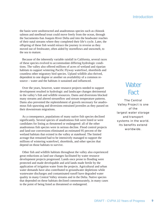the basin were unobstructed and anadromous species such as chinook salmon and steelhead trout could move freely from the ocean, through the Sacramento-San Joaquin River Delta and into the headwater reaches of their natal streams where they completed their life's cycle. Later, the offspring of these fish would retrace the journey in reverse as they moved out of freshwater, often aided by stormflows and snowmelt, to the sea to mature.

Because of the inherently variable rainfall in California, several races of these species evolved to accommodate differing hydrologic conditions. The valley also offered millions of acres of wetland and riparian habitats to support wintering Pacific Flyway waterfowl, shorebirds and countless other migratory bird species. Upland wildlife also thrived, dependent to one degree or another on availability of a common resource – water and the habitats it sustained and influenced.

Over the years, however, water resource projects needed to support development resulted in hydrologic and landscape changes detrimental to the valley's fish and wildlife resources. Dams and diversions blocked many streams and altered streamflow and stream temperature patterns. Dams also prevented the replenishment of gravels necessary for anadromous fish spawning and diversions entrained juveniles as they passed on their downstream migrations.

As a consequence, populations of many native fish species declined significantly. Several species of anadromous fish were listed or were candidates for listing as threatened or endangered: all of the other anadromous fish species were in serious decline. Flood control projects and land-use conversions eliminated an estimated 95 percent of the wetland habitats that existed in the valley at statehood. The limited acreage that remained had to be intensively managed to support the millions of wintering waterfowl, shorebirds, and other species that depend on those habitats to survive.

Other fish and wildlife habitats throughout the valley also experienced great reductions as land use changes facilitated by water resource development projects progressed. Lands once prone to flooding were protected and made developable and arid lands made fertile by the application of irrigation water from the projects. Agricultural and urban water demands have also contributed to groundwater depletions while wastewater discharges and contaminated runoff have degraded water quality in many Central Valley streams and in the Delta. Native species that depended on these habitats declined commensurately, in many cases to the point of being listed as threatened or endangered.

## **Water** Fact

The Central Valley Project is one of the largest water storage and transport systems in the world. Its benefits extend worldwide.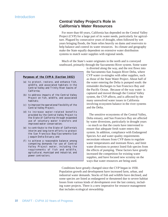### **Central Valley Project's Role in California's Water Resources**

For more than 60 years, California has depended on the Central Valley Project (CVP) for a large part of its water needs, particularly for agriculture. Plagued by consecutive years of drought, often followed by wet years bringing floods, the State relies heavily on dams and reservoirs to help balance and control its water resources. Its climate and geography make the State equally dependent on extensive water distribution systems to match water supplies with regional needs.

Much of the State's water originates in the north and is conveyed southward, primarily through the Sacramento River system. Some water

#### **Purposes of the CVPIA (Section 3402)**

- (a) to protect, restore, and enhance fish, wildlife, and associated habitats in the Central Valley and Trinity River basins of California;
- (b) to address impacts of the Central Valley Project on fish, wildlife, and associated habitats;
- (c) to improve the operational flexibility of the Central Valley Project;
- (d) to increase water-related benefits provided by the Central Valley Project to the State of California through expanded use of voluntary water transfers and improved water conservation;
- (e) to contribute to the State of California's interim and long-term efforts to protect the San Francisco Bay/Sacramento-San Joaquin Delta Estuary; and
- (f) to achieve a reasonable balance among competing demands for use of Central Valley Project water, including the requirements of fish and wildlife, agricultural, municipal and industrial, and power contractors.

is diverted along the way, and the rest flows into the Sacramento-San Joaquin River Delta, where CVP water co-mingles with other supplies, such as those of the State Water Project. About half of the water entering the Delta is pumped south: the remainder discharges to San Francisco Bay and the Pacific Ocean. Because of the way water is captured and moved through the Central Valley system, the CVP affects, and is affected by the many unresolved water issues in California involving ecosystem balance in the river systems and the Delta.

The sensitive ecosystems of the Central Valley, Delta estuary, and San Francisco Bay are affected by water diversions, particularly in drought years - so much so that the courts have intervened to ensure that adequate fresh water enters this system. In addition, compliance with Endangered Species Act and water quality requirements necessitate releases from CVP dams to regulate water temperatures and instream flows, and limit water diversions to protect listed fish species from the effects of pumping. These factors have greatly increased the competition for existing water supplies, and have focused new scrutiny on the ways that water resources are being used.

Conditions have greatly changed since the CVP began in 1930. Population growth and development have increased farm, urban, and industrial water demands. Stocks of fish and wildlife have declined, and some species are listed as endangered or threatened due to severe habitat losses from various kinds of development over the last century, including water projects. There is a new imperative for resource management that includes ecological stewardship.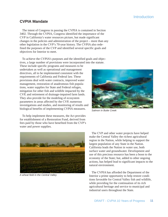#### Introduction

#### **CVPIA Mandate**

The intent of Congress in passing the CVPIA is contained in Section 3402. Through the CVPIA, Congress identified the importance of the CVP in California's water resources picture, but made significant changes in the policies and administration of the project – more than any other legislation in the CVP's 70-year history. The CVPIA also redefined the purposes of the CVP and identified several specific goals and objectives for Interior to meet.

To achieve the CVPIA's purposes and the identified goals and objectives, a large number of provisions were incorporated into the statute.

These include specific programs and measures to be undertaken as well as operational and management directives, all to be implemented consistent with the requirements of California and Federal law. These provisions deal with water contracts, improved water management, restoration of anadromous fish populations, water supplies for State and Federal refuges, mitigation for other fish and wildlife impacted by the CVP, and retirement of drainage-impaired farm lands. They also provide for the modeling of ecosystem parameters in areas affected by the CVP, numerous investigations and studies, and monitoring of results and biological benefits of implementing CVPIA measures.

To help implement these measures, the Act provides for establishment of a Restoration Fund, derived from fees paid by those who have benefited from the CVP's water and power supplies.



*Salmon in Butte Creek*



*A wheat field in the Central Valley*

The CVP and other water projects have helped make the Central Valley the richest agricultural region in the Nation, while helping to support the largest population of any State in the Nation. California leads the Nation in water use, both surface water and groundwater. Development and use of this precious resource has been a boon to the economy of the State; but, added to other ongoing actions, has helped lead to significant impacts to the natural environment.

The CVPIA has afforded the Department of the Interior a prime opportunity to help restore conditions favorable for Central Valley fish and wildlife, while providing for the continuation of its rich agricultural heritage and service to municipal and industrial users throughout the State.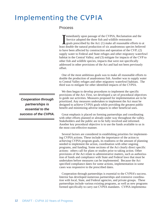## Implementing the CVPIA

#### Process

Immediately upon passage of the CVPIA, Reclamation and the Service adopted the three fish and wildlife restoration goals prescribed by the Act: (1) make all reasonable efforts to at least double the natural production of s mmediately upon passage of the CVPIA, Reclamation and the Service adopted the three fish and wildlife restoration goals prescribed by the Act: (1) make all reasonable efforts to at to have been affected by construction and operation of the CVP; (2) supply water to Federal and State refuges and other migratory waterfowl habitat in the Central Valley; and (3) mitigate for impacts of the CVP to other fish and wildlife species, impacts that were not specifically addressed in other provisions of the Act and had not been previously offset.

One of the most ambitious goals was to make all reasonable efforts to double the production of anadromous fish. Another was to supply water to Central Valley refuges and other migratory waterfowl habitats. The third was to mitigate for other identified impacts of the CVPIA.

We then began to develop procedures to implement the specific provisions of the Act. First, we developed a set of procedural objectives to guide our activities. Measures proposed for implementation are to be prioritized. Any measures undertaken to implement the Act must be designed to achieve CVPIA goals while providing the greatest public benefit and minimizing adverse impacts to other beneficial uses.

Great emphasis is placed on forming partnerships and coordinating with other efforts planned or already under way throughout the valley. Stakeholders and the public are to be fully involved and informed. Another key procedural objective is to use the funds available to us in the most cost-effective manner.

Several factors are considered in establishing priorities for implementing CVPIA actions. These include the importance of the action to achieving CVPIA program goals, its readiness or the amount of planning needed to implement the action, coordination with other ongoing programs, and funding. Some sections of the Act clearly direct specific actions: others call for plans or studies prior to taking action. Other provisions of the Act relate to administrative matters, such as authorization of funds and compliance with State and Federal laws that must be undertaken before measures can be implemented. Because the Act specified compliance dates for some actions, implementation in some cases was responsive to the prescribed dates.

Cooperation through partnerships is essential to the CVPIA's success. Interior has developed numerous partnerships and extensive coordination with local, State, and Federal agencies, and private groups. These partnerships include various existing programs, as well as new programs formed specifically to carry out CVPIA mandates. CVPIA implementa-

*Cooperation through partnerships is essential to the success of the CVPIA.*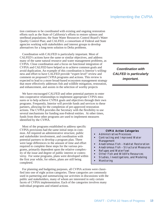### Implementing the CVPIA

tion continues to be coordinated with existing and ongoing restoration efforts such as the State of California's efforts to restore salmon and steelhead populations; the State Water Resources Control Board's Water Quality Control Plan; and CALFED, a consortium of Federal and State agencies working with stakeholders and interest groups to develop alternatives for a long-term solution to Delta problems.

Coordination with CALFED is particularly important. Most of CALFED's actions have the same or similar objectives, and address many of the same natural resource and water management problems, as CVPIA. Close coordination and a focus on functional integration of CVPIA and CALFED have helped us to achieve common goals and avoid duplication. An example of this coordination is Interior's willingness and effort to have CALFED provide "expert level" review and comment on proposed CVPIA programs and actions. This review is expected to lead to a more broad-based ecosystem management strategy that more effectively addresses fish and wildlife mitigation, restoration, and enhancement, and assists in the selection of worthy projects

We have encouraged CALFED and other potential partners to enter into cooperative relationships to implement appropriate CVPIA measures or to help achieve CVPIA goals and objectives through their own programs. Frequently, Interior will provide funds and services to these partners, allowing for the completion of pre-approved restoration actions. The CVPIA provides the Secretary with the flexibility to use several mechanisms for funding non-Federal entities. At other times, funds from these other programs are used to implement measures identified by the CVPIA.

Most of the programs established to address specific CVPIA provisions had the same initial steps in common. All required an administrative structure, public and stakeholder involvement, and coordination with potential partners to develop a program plan. There were large differences in the amount of time and effort required to complete these steps for the various programs, primarily dependent upon the relative complexity of the issue and degree of public interest or controversy. For some programs, plans were developed within the first year while, for others, plans are still being completed.

For planning and budgeting purposes, all CVPIA actions were classified into one of eight action categories. These categories are commonly used in partnering and summarizing our activities in discussions with the public and stakeholders, many of whom are interested in only certain facets of CVPIA implementation. Each of the categories involves many individual programs and related actions.

*Coordination with CALFED is particularly important.*

#### **CVPIA Action Categories**

- **Administrative Processes**
- Contracting and Improved Water Management
- Anadromous Fish Habitat Restoration
- Anadromous Fish Structural Measures
- **Refuges and Waterfowl**
- **Other Fish and Wildlife Resources**
- **Studies, Investigations, and Modeling**
- **•** Monitoring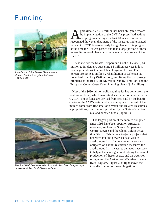## Funding



*Installation of the Shasta Temperature Control Device took place between 1995 - 1997.*

pproximately \$630 million has been obligated toward<br>the implementation of the CVPIA's prescribed actions<br>and programs through the first 10 years. It must be<br>recognized however, that many of the measures implemented the implementation of the CVPIA's prescribed actions and programs through the first 10 years. It must be recognized, however, that many of the measures implemented pursuant to CVPIA were already being planned or in progress at the time the Act was passed and that a large portion of these expenditures would have occurred even in the absence of the CVPIA.

These include the Shasta Temperature Control Device (\$84 million to implement, but saving \$5 million per year in lost power generation), Glenn-Colusa Irrigation District Fish Screen Project (\$41 million), rehabilitation of Coleman National Fish Hatchery (\$20 million), and fixing the fish passage problems at the Red Bluff Diversion Dam (\$34 million) and the Tracy and Contra Costa Canal Pumping plants (\$17 million).

Most of the \$630 million obligated thus far has come from the Restoration Fund, which was established in accordance with the CVPIA. These funds are derived from fees paid by the beneficiaries of the CVP's water and power supplies. The rest of the monies come from Reclamation's Water and Related Resources appropriations, contributions provided by the State of California, and donated funds (Figure 1).



*The Red Bluff Demonstration Pump Project fixed fish passage problems at Red Bluff Diversion Dam.*

The largest portion of the monies obligated since 1993 have been spent on structural measures, such as the Shasta Temperature Control Device and the Glenn-Colusa Irrigation District Fish Screen Project - projects that benefit water and power users as well as anadromous fish. Large amounts were also obligated on habitat restoration measures for anadromous fish, measures believed necessary to help achieve our goal of doubling the natural production of these species, and on water for refuges and the Agricultural Waterfowl Incentives Program. Figure 2 at right shows the total distribution of these obligations..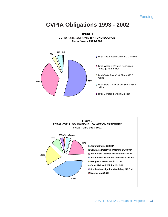#### Funding

## **CVPIA Obligations 1993 - 2002**



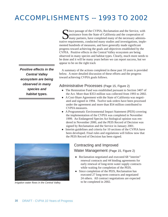## ACCOMPLISHMENTS -- 1993 TO 2002

*Positive effects in the Central Valley ecosystem are being observed in many species and habitat types.*

ince passage of the CVPIA, Reclamation and the Service, with assistance from the State of California and the cooperation of many partners, have completed many of the necessary administrative requirements, conducted many studies and investigations, implemented hundreds of measures, and have generally made significant progress toward achieving the goals and objectives established by the CVPIA. Positive effects in the Central Valley ecosystem are being observed in many species and habitat types. Clearly, much more needs to be done and it will be many years before we can report success, but we appear to be on the right track

A summary of the actions completed in these past 10 years is provided below. A more detailed discussion of these efforts and the progress toward achieving CVPIA goals follows.

#### Administrative Processes (Page 15, Figure 2)

- The Restoration Fund was established pursuant to Section 3407 of the Act. More than \$353 million was collected from 1993 to 2002.
- -A Cost-Share Agreement with the State of California was negotiated and signed in 1994. Twelve task orders have been processed under the agreement and more than \$54 million contributed to CVPIA measures.
- -A Programmatic Environmental Impact Statement (PEIS) covering the implementation of the CVPIA was completed in November 1999. An Endangered Species Act biological opinion was rendered in November 2000, and the PEIS Record of Decision was signed by Reclamation and the Service in January 2001.
- -Interim guidelines and criteria for 10 sections of the CVPIA have been developed. Final rules and regulations will follow now that the PEIS Record of Decision has been signed.



*Irrigation water flows in the Central Valley.*

### Contracting and Improved Water Management (Page 15, Figure 2)

- Reclamation negotiated and executed 68 "interim" renewal contracts and 44 binding agreements for early renewal of long-term water supply contracts while waiting for completion of the PEIS.
- $\bullet$ Since completion of the PEIS, Reclamation has executed 27 long-term contracts and negotiated 24 others. All contract negotiations are expected to be completed in 2002.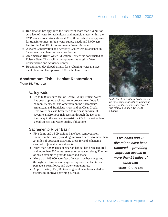- Reclamation has approved the transfer of more than 4.3 million acre-feet of water for agricultural and municipal uses within the CVP service area. An additional 396,000 acre-feet was approved for transfer to meet refuge water supply needs and 5,000 acrefeet for the CALFED Environmental Water Account.
- -A Water Conservation and Advisory Center was established in Sacramento and later relocated to Folsom.
- An American River Water Education Center was constructed at Folsom Dam. This facility incorporates the original Water Conservation and Advisory Center.
- -Reclamation developed criteria for evaluating water management plans and has approved 100 such plans to date.

### **Anadromous Fish – Habitat Restoration**

(Page 15, Figure 2)

#### Valley-wide

-Up to 800,000 acre-feet of Central Valley Project water has been applied each year to improve streamflows for salmon, steelhead, and other fish on the Sacramento, American, and Stanislaus rivers and on Clear Creek. This water has also been used to increase survival of juvenile anadromous fish passing through the Delta on their way to the sea, and to assist the CVP to meet endangered species and water quality obligations.

#### Sacramento River Basin

- Five dams and 15 diversions have been removed from streams in the basin, providing improved access to more than 24 miles of upstream spawning areas for and enhancing survival of juvenile out-migrants.
- More than 8,000 acres of riparian habitat has been acquired and more than 500 acres restored or enhanced along 30 miles of basin streams to provide cover and shade.
- More than 108,000 acre-feet of water have been acquired through purchase or exchange to improve fish habitat and passage, streamflows, and water temperatures.
- -Approximately 156,000 tons of gravel have been added to streams to improve spawning success.



*Battle Creek in northern California was the most important salmon-producing tributary to the Sacramento River. It was restored under a CALFED initiative.*

*Five dams and 15 diversions have been removed ... providing improved access to more than 24 miles of upstream spawning areas*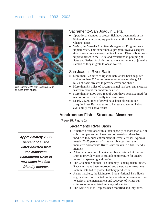

*The Sacramento-San Joaquin Delta as seen from space.*

### Sacramento-San Joaquin Delta

- Operational changes to protect fish have been made at the Stateand Federal pumping plants and at the Delta Cross Channel gates.
- VAMP, the Vernalis Adaptive Management Program, was implemented. This experimental program involves acquisition of water as necessary on San Joaquin River tributaries to improve flows in the Delta, and reductions in pumping at State and Federal facilities to reduce entrainment of juvenile salmon as they migrate to ocean waters.

#### San Joaquin River Basin

- $\bullet$ More than 172 acres of riparian habitat has been acquired and more than 500 acres restored or enhanced along 8.7 miles of basin streams to provide cover and shade.
- More than 5.4 miles of stream channel has been enhanced as instream habitat for anadromous fish.
- More than 844,000 acre-feet of water have been acquired for restoration of fish friendly instream flows.
- Nearly 72,000 tons of gravel have been placed in San Joaquin River Basin streams to increase spawning habitat availability for native fishes.

## **Anadromous Fish – Structural Measures**

(Page 15, Figure 2)

#### Sacramento River Basin

- Nineteen diversions with a total capacity of more than 6,700 cubic feet per second have been screened or otherwise modified to reduce entrainment of juvenile fishes. Approximately 70-75 percent of all water diverted from the mainstem Sacramento River is now taken in a fish-friendly manner.
- -A temperature control device has been installed at Shasta Dam to provide water of suitable temperature for anadromous fish spawning and rearing.
- The Coleman National Fish Hatchery is being rehabilitated. Raceways have been improved and a new water treatment system installed to protect hatchery production.
- A new hatchery, the Livingston Stone National Fish Hatchery, has been constructed on the mainstem Sacramento River to assist in the management and recovery of winter-run chinook salmon, a listed endangered species.
- The Keswick Fish Trap has been modified and improved.

*Approximately 70-75 percent of all the water diverted from the mainstem Sacramento River is now taken in a fishfriendly manner.*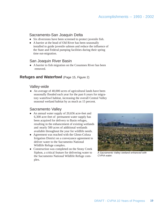### Sacramento-San Joaquin Delta

- Six diversions have been screened to protect juvenile fish.
- -A barrier at the head of Old River has been seasonally installed to guide juvenile salmon and reduce the influence of the State and Federal pumping facilities during their spring time out-migration.

#### San Joaquin River Basin

-A barrier to fish migration on the Cosumnes River has been removed.

#### **Refuges and Waterfowl** (Page 15, Figure 2)

#### Valley-wide

• An average of 40,000 acres of agricultural lands have been seasonally flooded each year for the past 6 years for migratory waterfowl habitat, increasing the overall Central Valley seasonal wetland habitat by as much as 15 percent.

#### Sacramento Valley

- An annual water supply of 20,656 acre-feet and 6,300 acre-feet of permanent water supply has been acquired for delivery to Basin refuges, resulting in the enhancement of existing wetlands and nearly 500 acres of additional wetlands available throughout the year for wildlife needs.
- -Agreement was reached with the Glenn-Colusa Irrigation District on a conveyance agreement to deliver water to the Sacramento National Wildlife Refuge complex.
- Construction was completed on the Stony Creek Siphon, a critical feature for delivering water to the Sacramento National Wildlife Refuge complex.



*A Sacramento Valley wetland enhanced with CVPIA water.*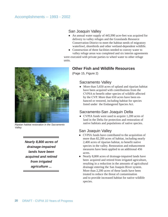#### San Joaquin Valley

- An annual water supply of 445,990 acre-feet was acquired for delivery to valley refuges and the Grasslands Resource Conservation District to meet the habitat needs of migratory waterfowl, shorebirds and other wetland-dependent wildlife.
- Construction of three facilities needed to convey water to valley refuge areas was completed and six interim agreements

were executed with private parties to wheel water to other refuge units.

## **Other Fish and Wildlife Resources**

(Page 15, Figure 2)

#### Sacramento Valley

• More than 5,650 acres of upland and riparian habitat have been acquired with contributions from the CVPIA to benefit other species of wildlife affected by the CVP. More than 650 acres have been enhanced or restored, including habitat for species listed under the Endangered Species Act.

## Sacramento-San Joaquin Delta

• CVPIA funds were used to acquire 1,200 acres of land in the Delta for protection and restoration of native habitats and populations of native species.

## San Joaquin Valley

- CVPIA funds have contributed to the acquisition of more than 82,200 acres of habitat, including nearly 2,400 acres of riparian habitat, to benefit native species in the valley. Restoration and enhancement measures have been applied to an additional 456 acres.
- Nearly 8,800 acres of drainage-impaired lands have been acquired and retired from irrigated agriculture, resulting in a reduction in the amounts of agricultural drainage entering the San Joaquin River system. More than 2,200 acres of these lands have been treated to reduce the threat of contamination and to provide increased habitat for native wildlife species.



*Ripaian habitat restoration in the Sacramento Valley.*

*Nearly 8,800 acres of drainage-impaired lands have been acquired and retired from irrigated agriculture ...*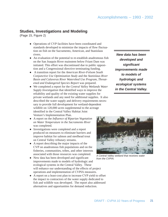#### **Studies, Investigations and Modeling**

(Page 15, Figure 2)

- -Operations of CVP facilities have been coordinated and standards developed to minimize the impacts of flow fluctuation on fish on the Sacramento, American, and Stanislaus rivers.
- -An evaluation of the potential to re-establish anadromous fish on the San Joaquin River mainstem below Friant Dam was initiated. This effort was discontinued due to public opposition and a Congressional directive terminating funding.
- A transition report for the *American River-Folsom South Conjunctive Use Optimization Study* and the *Stanislaus River Basin and Calaveras River Watershed Use Program, Threatened and Endangered Species Report* was prepared*.*
- -We completed a report for the *Central Valley Wetlands Water Supply Investigation* that identified ways to improve the reliability and quality of the existing water supplies for private wetlands and any need for additional supplies. It also described the water supply and delivery requirements necessary to provide full development for wetland-dependent wildlife on 120,000 acres supplemental to the acreage identified in the Central Valley Habitat Joint Venture's Implementation Plan.
- -A report on the *Influence of Riparian Vegetation on Water Temperature in the Sacramento River* was completed*.*
- -Investigations were completed and a report produced on measures to eliminate barriers and improve habitat for salmon and steelhead trout on Central Valley tributary streams.
- -A report describing the major impacts of the CVP on anadromous fish populations and on the fisheries, communities, tribes, and other interests associated with those resources was completed.
- -New data has been developed and significant improvements made to models of hydrologic and ecological systems in the Central Valley. These will enhance our understanding of the effects of project operations and implementation of CVPIA measures.
- -A report on a least-cost plan to increase CVP yield to offset the impact to contractors of the water supply dedicated to fish and wildlife was developed. The report also addressed alternatives and opportunities for demand reduction.

*New data has been developed and significant improvements made to models of hydrologic and ecological systems in the Central Valley.*



*A Central Valley wetland that receives water from the CVPIA.*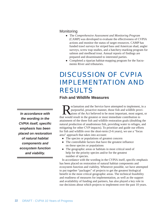#### **Monitoring**

- -The *Comprehensive Assessment and Monitoring Program* (CAMP) was developed to evaluate the effectiveness of CVPIA actions and monitor the status of target resources. CAMP has funded trawl surveys for striped bass and American shad, angler surveys, screw trap studies, and a hatchery-marking program for salmon and steelhead trout. Annual reports of findings are prepared and disseminated to interested parties.
- Completed a riparian habitat-mapping program for the Sacramento River and tributaries.

## DISCUSSION OF CVPIA IMPLEMENTATION AND RESULTS

#### **Fish and Wildlife Measures**

Elamation and the Service have attempted to implement, in a purposeful, proactive manner, those fish and wildlife provisions of the Act believed to be most important, most urgent, or would result in the greatest or most im purposeful, proactive manner, those fish and wildlife provisions of the Act believed to be most important, most urgent, or that would result in the greatest or most immediate contribution to attainment of the three fish and wildlife restoration goals (doubling the natural production of anadromous fish, providing water to refuges, and mitigating for other CVP impacts). To prioritize and guide our efforts for fish and wildlife over the short-term (3-6 years), we use a "focus area" approach that takes into account:

- The species or populations of greatest concern
- The controllable factors that have the greatest influence on these species or populations
- The geographic areas or habitats in most critical need of help for the priority species and/or for the greatest number of species.

In accordance with the wording in the CVPIA itself, specific emphasis has been placed on restoration of natural habitat components and ecosystem function and viability. Whenever possible, we have attempted to put together "packages" of projects to get the greatest biological benefit in the most critical geographic areas. The technical feasibility and readiness of measures for implementation, as well as the support and availability of funding and partners, has also played a key role in our decisions about which projects to implement over the past 10 years.

*In accordance with the wording in the CVPIA itself, specific emphasis has been placed on restoration of natural habitat components and ecosystem function and viability.*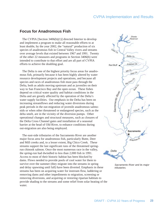#### **Focus for Anadromous Fish**

The CVPIA [Section 3406(b)(1)] directed Interior to develop and implement a program to make all reasonable efforts to at least double, by the year 2002, the "natural" production of six species of anadromous fish in Central Valley rivers and streams over average levels that existed between 1967 and 1991. Twenty of the other 22 measures and programs in Section 3406(b) were intended to contribute to that effort and are all part of CVPIA efforts to achieve the doubling goal.

The Delta is one of the highest priority focus areas for anadromous fish, primarily because it has been highly altered by water resource development projects and operations, and because all species and races of anadromous fish must pass through the Delta, both as adults moving upstream and as juveniles on their way to San Francisco Bay and the open ocean. These fishes depend on critical water quality and habitat conditions in the Delta and are greatly affected by the operation of the Delta's water supply facilities. Our emphasis in the Delta has been on increasing streamflows and reducing water diversions during peak periods in the out-migration of juvenile anadromous salmonids or when other threatened or endangered species, such as the delta smelt, are in the vicinity of the diversion pumps. Other operational changes and structural measures, such as closures of the Delta Cross Channel gates and installation of a seasonal barrier at the head of Old River, to enhance conditions during out-migration are also being employed.

The east-side tributaries of the Sacramento River are another major focus area for anadromous fish, particularly Butte, Deer and Mill creeks and, to a lesser extent, Big Chico Creek. These streams support the last significant runs of the threatened springrun chinook salmon. Once the most numerous race in the valley, the spring-run had dwindled to less than 2,000 fish in 1991. Access to most of their historic habitat has been blocked by dams. Flows needed to provide pools of cool water for them to survive over the summer (they migrate into the streams in spring and delay spawning until fall) have been diverted. Emphasis in these streams has been on acquiring water for instream flow, laddering or removing dams and other impediments to migration, screening or removing diversions, and acquiring or restoring riparian habitats to provide shading to the streams and some relief from solar heating of the water.

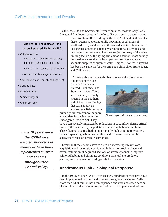Other eastside and Sacramento River tributaries, most notably Battle, Clear, and Antelope creeks, and the Yuba River have also been targeted

#### **Species of Anadromous Fish to be Restored Under CVPIA**

- Chinook salmon
	- spring-run (threatened species)
	- fall-run (candidate for listing)
	- late fall-run (candidate for listing)
	- winter-run (endangered species)
- Steelhead trout (threatened species)
- Striped bass
- American shad
- White sturgeon
- Green sturgeon

*In the 10 years since the CVPIA was enacted, hundreds of measures have been implemented in rivers and streams throughout the Central Valley.*

for restoration efforts. Along with Deer, Mill, and Butte creeks, these streams support naturally spawning populations of steelhead trout, another listed threatened species. Juveniles of this species generally spend a year in their natal streams, and must over-summer there. They are subject to many of the same limiting factors as the spring-run chinook salmon, most notably the need to access the cooler upper reaches of streams and adequate supplies of summer water. Emphasis for these streams has been the same as for the spring-run chinook on Butte, Deer, and Mill creeks.

Considerable work has also been done on the three major

tributaries of the San Joaquin River - the Merced, Tuolumne, and Stanislaus rivers. These are essentially the only streams in the southern end of the Central Valley that still support an anadromous fish resource,

primarily fall-run chinook salmon, a candidate for listing under the Endangered Species Act. They



*Gravel is placed to improve spawning.*

have been severely impacted by reductions in streamflow during critical times of the year and by degradation of instream habitat conditions. These factors have resulted in unacceptably high water temperatures, reduced spawning habitat availability, and increased predation by slackwater fishes on juvenile salmonids.

Efforts in these streams have focused on increasing streamflows, acquisition and restoration of riparian habitats to provide shade and cover, restoration of degraded sections of stream channel to improve salmonid habitat and eliminate conditions favorable to predatory species, and placement of fresh gravels for spawning.

#### **Anadromous Fish - Biological Response**

In the 10 years since CVPIA was enacted, hundreds of measures have been implemented in rivers and streams throughout the Central Valley. More than \$350 million has been expended and much has been accomplished. It will take many more years of work to implement all of the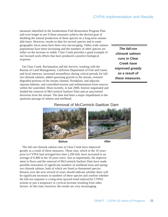measures identified in the Anadromous Fish Restoration Program Plan and even longer to see if these measures achieve the desired goal of doubling the natural production of these species on a long-term sustainable basis. However, results to date for several species and in some geographic focus areas have been very encouraging. Valley-wide salmon populations have been increasing and the numbers of other species are either on the increase or stable. Clear Creek provides a good example of our focused work efforts that have produced a positive biological response.

On Clear Creek, Reclamation and the Service, working with the Bureau of Land Management, California Department of Fish and Game, and local interests, increased streamflows during critical periods for fallrun chinook salmon; added spawning gravels to the stream; restored degraded portions of the stream channel, floodplain, and adjacent riparian habitats; and controlled erosion and sedimentation from sources within the watershed. Most recently, in late 2000, Interior negotiated and funded the removal of McCormick-Saeltzer Dam and an unscreened diversion from the stream. The dam had been a major impediment to the upstream passage of salmon and steelhead.

*The fall-run chinook salmon runs in Clear Creek have improved greatly as a result of these measures.*

#### Removal of McCormick-Saeltzer Dam



The fall-run chinook salmon runs in Clear Creek have improved greatly as a result of these measures. These runs, which in the 10 years prior to CVPIA had averaged less than 2,200 fish, have increased to an average of 6,400 in the 10 years since. Just as importantly, the improvement in flows and the removal of McCormick-Saeltzer Dam have made possible restoration of significant numbers of steelhead trout and springrun chinook salmon, both of which are listed as threatened species. Returns over the next several of years should indicate whether there will be significant increases in numbers of these species and confirm whether the fall-run response is a long-term upward trend induced by CVPIA actions or just a temporary or cyclical increase resulting from other factors. At this time, however, the results are very encouraging.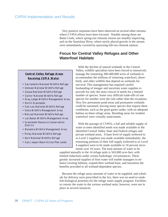Very positive responses have been observed on several other streams where CVPIA efforts have been focused. Notable among these are Butte Creek, where spring-run chinook returns are steadily improving, and on the Stanislaus River, where newly placed gravels in the stream were immediately covered by spawning fall-run chinook salmon.

#### **Focus for Central Valley Refuges and Other Waterfowl Habitats**

#### **Central Valley Refuge Areas Receiving CVPIA Water**

- Sacramento National Wildlife Refuge
- Delevan National Wildlife Refuge
- Colusa National Wildlife Refuge
- Sutter National Wildlife Refuge
- Gray Lodge Wildlife Management Area
- North Grasslands
- San Luis National Wildlife Refuge
- Volta Wildlife Management Area
- Merced National Wildlife Refuge
- Los Banos Wildlife Management Area
- Grasslands Resource Conservation District
- Mendota Wildlife Management Area
- Pixley National Wildlife Refuge
- Kern National Wildlife Refuge
- San Joaquin Basin Action Plan Lands

With the decline of natural wetlands in the Central Valley, wildlife specialists have been forced to intensively manage the remaining 300-400,000 acres of wetlands to accommodate the millions of wintering waterfowl, shorebirds, and other wildlife that depend on wetlands for survival. This management has required careful husbanding of meager and uncertain water supplies to provide for only the most critical of needs for a limited number of species. Some very difficult trade-offs of one species for another were the rule rather than the exception. Very few permanent pond areas and permanent wetlands could be sustained, leaving many species that require these conditions, such as the giant garter snake, with no adequate habitat on these refuge areas. Breeding areas for resident waterfowl were virtually nonexistent.

With the passage of CVPIA, a full and reliable supply of water to meet identified needs was made available to the identified Central Valley State and Federal refuges and private wetland areas. A base level of supply (referred to as Level 2 supplies) was made available immediately: the remaining portions of their full supply (referred to as Level 4 supplies) were to be made available in 10 percent increments over 10 years. The total amount of water to be

supplied annually to the 14 refuge units is 563,000 acre-feet, with limited reductions under certain hydrologic circumstances. These greatly increased supplies of firm water will enable managers to enhance existing habitats, expand their wetland base, and maximize the benefits provided to all wetland-dependent species.

Because the refuge areas amounts of water to be supplied, and schedule for delivery were prescribed in the Act, there was no need to establish biological priorities for the refuge water supply program. Facilities to convey the water to the various wetland units, however, were not in place in several instances.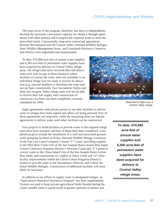The main focus of the program, therefore, has been to independently develop the necessary conveyance capacity (or obtain it through agreements with other parties) and to acquire the requisite water to meet the prescribed needs. Concurrently, long-term contractual agreements between Reclamation and the Central Valley National Wildlife Refuges, State Wildlife Management Areas, and Grasslands Resource Conservation District were negotiated and implemented.

To date, 474,490 acre-feet of annual water supplies and 6,300 acre-feet of permanent water supplies have been acquired for delivery to Central Valley refuge areas. All refuge units have received their full allocations each year except in those instances where facilities to convey the water were not available or an individual refuge was not ready to receive its allocation (e.g. internal facilities to distribute the water had not yet been constructed). Two Sacramento Valley and three San Joaquin Valley refuge units will not be able to receive their full supply until construction of conveyance facilities has been completed, currently scheduled for 2006.



*Waterfowl in flight over a Central Valley refuge.*

Eight agreements with private parties to use their facilities to deliver water to refuges have been signed and others are being pursued. Five of these agreements are long-term, while the remaining three are interim agreements to deliver water until other facilities can be constructed.

Five projects to build facilities to provide water to the targeted refuge units have been initiated, and four of these have been completed. Completed projects include the installation of a well and associated groundwater pumping facilities at Pixley National Wildlife Refuge; extension of the San Luis Canal Company's Island "C" Canal, providing supplies to the West Bear Creek Unit of the San Joaquin Basin Action Plan lands; Central California Irrigation District's Newman Canal and "J" Lateral to convey water to the China Island Unit of the San Joaquin Basin Action Plan lands; and construction of a siphon at Stony Creek and 127 other facility improvements within the Glenn-Colusa Irrigation District's system to provide water to the Sacramento, Delevan, and Colusa National Wildlife Refuges. Construction of additional facilities will most likely be necessary.

In addition to our efforts to supply water to designated refuges, an "Agricultural Waterfowl Incentives Program" has been implemented. Farmers are paid to keep private agricultural fields flooded during the winter months when it would result in greater amounts of habitat and

*To date, 474,490 acre-feet of annual water supplies and 6,300 acre-feet of permanent water supplies have been acquired for delivery to Central Valley refuge areas.*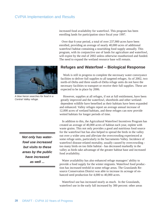

*A blue heron searches for food in a Central Valley refuge.*

*Not only has waterfowl use increased but visits to these areas by the public have increased as well ...*

increased food availability for waterfowl. This program has been enrolling lands for participation since fiscal year 1997.

Over that 6-year period, a total of over 237,900 acres have been enrolled, providing an average of nearly 40,000 acres of additional waterfowl habitat containing a nourishing food supply annually. This program, with its conjunctive use of lands for agriculture and waterfowl, will expire by the end of 2002 unless otherwise reauthorized and funded. The need to expand the wetland resource base will remain.

#### **Refuges and Waterfowl – Biological Response**

Work is still in progress to complete the necessary water conveyance facilities to deliver full supplies to all targeted refuges. As of 2002, two north-of-Delta and three south-of-Delta refuge units do not have the necessary facilities to transport or receive their full supplies. These are expected to be in place by 2006.

However, supplies at all refuges, if not at full entitlement, have been greatly improved and the waterfowl, shorebirds and other wetlanddependent wildlife have benefited as their habitats have been expanded and enhanced. Valley refuges report an average annual increase of 12,000 acres of wetland habitats, and these refuges can now provide wetted habitats for longer periods of time.

In addition to this, the Agricultural Waterfowl Incentives Program has created an average of 40,000 acres of habitat each year, replete with waste grains. This not only provides a good and nutritious food source for the waterfowl but has also helped to spread the birds in the valley out over a wider area and alleviate the overcrowding experienced at some refuge units, particularly in the Sacramento Valley. Incidence of waterfowl disease-related mortality, usually caused by overcrowding too many birds on too little habitat - has decreased markedly in the valley as birds take advantage of the greater habitat base and increased food availability.

Water availability has also enhanced refuge managers' ability to provide a food supply for the winter migrants. Waterfowl food production has increased tenfold in some refuge areas. The Grasslands Resource Conservation District was able to increase its acreage of enhanced seed production for 4,000 to 40,000 acres.

Waterfowl use has increased nearly as much. In the Grasslands, waterfowl use in the early fall increased by 300 percent: other areas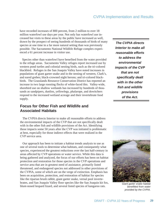have recorded increases of 800 percent, from 2 million to over 18 million waterfowl use days per year. Not only has waterfowl use increased but visits to these areas by the public have increased as well, drawn by the prospect of seeing hundreds of thousands of birds of many species at one time in a far more natural setting than was previously possible. The Sacramento National Wildlife Refuge complex experienced a 61 percent increase in visitor use.

Species other than waterfowl have benefited from the water provided to the refuge areas. Sacramento Valley refuges report increased use by western pond turtles and colonial nesting birds, such as the tri-colored blackbird. Refuges in the San Joaquin Valley have noted increases in populations of giant garter snake and in the nesting of western, Clark's, and eared grebes; black-crowned night herons; and tri-colored blackbirds. The Grasslands Resource Conservation District has reported an increase in two large roosting flocks of white-faced ibis. Valley-wide, shorebird use on shallow wetlands has increased by hundreds of thousands as sandpipers, dunlins, yellowlegs, phalarope, and dowitchers respond to the increased wetland acreage and their invertebrate food supply.

### **Focus for Other Fish and Wildlife and Associated Habitats**

The CVPIA directs Interior to make all reasonable efforts to address the environmental impacts of the CVP that are not specifically dealt with in the other fish and wildlife provisions of the Act. Identifying those impacts some 50 years after the CVP was initiated is problematic at best, especially for those indirect effects that were realized in the CVP service area.

Our approach has been to initiate a habitat trends analysis to use as one of several tools to determine what habitats, and consequently what species, experienced the greatest reductions over the last half-century in areas affected by CVP operations or water service. While this data is being gathered and analyzed, the focus of our efforts has been on habitat protection and restoration for those species in the CVP operations and service area that are in greatest need of assistance, primarily listed threatened, and endangered species not addressed in other provisions of the CVPIA, some of which are on the verge of extinction. Emphasis has been on acquisition, protection, and restoration of habitat for species like the riparian brush rabbit, giant garter snake, vernal pool invertebrates, and San Joaquin Valley floor species like the San Joaquin kit fox, brates, and San Joaquin valley floor species like the San Joaquin kit fox, *Giant garter snake habitat*<br>blunt-nosed leopard lizard, and several listed species of kangaroo rats.

*The CVPIA directs Interior to make all reasonable efforts to address the environmental impacts of the CVP that are not specifically dealt with in the other fish and wildlife provisions of the Act.*



*benefitted from water provided by the CVPIA.*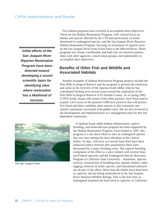*Initial efforts of the San Joaquin River Riparian Restoration Program have been directed toward developing a sound scientific basis for identifying sites where restoration has a likelihood of success.*

Two habitat programs have evolved to accomplish these objectives. These are the Habitat Restoration Program, with a broad focus on habitat and species affected by the CVP and particularly on listed threatened or endangered species; and the San Joaquin River Riparian Habitat Restoration Program, focusing on restoration of riparian areas on the San Joaquin River from Friant Dam to the Merced River. These programs are closely coordinated, and both rely on extensive partnerships with other agencies, conservation groups, and stakeholders to accomplish their objectives.

#### **Benefits of Other Fish and Wildlife and Associated Habitats**

Notable examples of Habitat Restoration Program projects include the Pine Hills Ecological Reserve and the program to prevent the extinction and assist in the recovery of the riparian brush rabbit. Interior has contributed funding over several years toward the acquisition of the Pine Hills Ecological Reserve in El Dorado County. As of spring 2002, CVPIA funds, along with monies from other partners, have been used to acquire 2,615 acres of the planned 5,000-acre preserve that will protect five listed and three candidate plant species in this extremely rare natural community associated with gabbro soils. We are also involved in the development and implementation of a management plan for this fire dependent community.



*The San Joaquin River*

A riparian brush rabbit habitat enhancement, captive breeding, and reintroduction program has been supported by the Habitat Restoration Program. First funded in 1997, this program is a last ditch effort to save an endangered species that was once among the most abundant in the Central Valley. To date, 258 acres at Caswell State Park have been enhanced and/or restored after populations there were devastated by a major flooding event. The captive-breeding component of the effort is a joint venture with several State and Federal agencies and the Endangered Species Recovery Program at California State University – Stanislaus. Species surveys, construction of breeding pens, genetic studies, radio tagging, removal of exotic species, and educational outreach are all part of the effort. More than 40 rabbits have been born in captivity and are being reintroduced at the San Joaquin River National Wildlife Refuge. This is the first time an endangered mammal has been bred in captivity in California.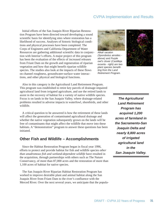Initial efforts of the San Joaquin River Riparian Restoration Program have been directed toward developing a sound scientific basis for identifying sites where restoration has a likelihood of success. Analyses of historic biological conditions and physical processes have been completed. The Corps of Engineers and California Department of Water Resources are gathering additional scientific data in conjunction with Interior's efforts. A major project of this program has been the evaluation of the effects of increased releases from Friant Dam on the growth and regeneration of riparian vegetation and how that might benefit riparian wildlife species. The studies also look at the impacts of these flows on channel roughness, groundwater-surface water interactions, and other physical and biological functions.



*Alkali sacaton (Sporobolus airoides above) and Purple owl's clover (Castilleja exserta - right) are two plant species benefitting from the Land Retirement Program.*



Also in this category is the Agricultural Land Retirement Program. This program was established to retire key parcels of drainage-impaired agricultural land from irrigated agriculture, and use the retired lands to assist in the recovery of habitat for a variety of native wildlife species. Focus is on lands in the San Joaquin Valley, where drainage-related problems resulted in adverse impacts to waterfowl, shorebirds, and other wildlife.

A critical question to be answered is how the retirement of these lands will affect the generation of contaminated agricultural drainage and whether the native vegetation subsequently grown on the lands will be free of contaminants that might affect the wildlife that move into these habitats. A "demonstration" program to answer these questions has been initiated.

#### **Other Fish and Wildlife – Accomplishments**

Since the Habitat Restoration Program began in fiscal year 1996, efforts to protect and provide habitat for fish and wildlife species *other than anadromous fish and wetland-dependent wildlife* have resulted in the acquisition, through partnerships with others such as The Nature Conservancy, of more than 87,000 acres and the restoration of more than 1,100 acres of habitat for native species.

The San Joaquin River Riparian Habitat Restoration Program has worked to improve desirable plant and animal habitat along the San Joaquin River from Friant Dam to the river's confluence with the Merced River. Over the next several years, we anticipate that the popula-

*The Agricultural Land Retirement Program has acquired 1,200 acres of farmland in the Sacramento-San Joaquin Delta and nearly 8,800 acres of irrigated agricultural land in the San Joaquin Valley.*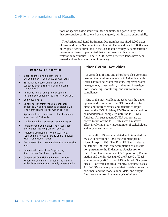tions of species associated with these habitats, and particularly those that are considered threatened or endangered, will increase substantially.

The Agricultural Land Retirement Program has acquired 1,200 acres of farmland in the Sacramento-San Joaquin Delta and nearly 8,800 acres of irrigated agricultural land in the San Joaquin Valley. A demonstration program has been implemented that experiments with a variety of restoration techniques. To date, 2,200 acres of retired lands have been treated and are in some stage of recovery.

#### **Other CVPIA Activities**

- Entered into binding cost-share agreement with the State of California
- Established Restoration Fund and collected over \$353 million from 1993 through 2002
- Initiated "Rulemaking" and prepared Interim Guidelines for 10 CVPIA programs
- Completed PEIS
- Executed "interim" renewal contracts: executed 27 and negotiated additional 24 long-term contracts for water service
- Approved transfer of more than 4.7 million acre-feet of CVP water
- Implemented water conservation program
- Implemented Comprehensive Assessment and Monitoring Program for CVPIA
- Initiated studies on flow fluctuations, reservoir carryover storage and Stanislaus River Basin water needs
- Terminated San Joaquin River Comprehensive Plan
- Completed three of six Supporting Anadromous Fish Investigations
- Completed CVP Fishery Impacts Report, Report on CVP Yield Increase, and Central Valley Wetlands Water Supply Investigation

#### **Other CVPIA Activities**

A great deal of time and effort have also gone into meeting the requirements of CVPIA that deal with water contracting, water transfers, improved water management, conservation, studies and investigations, modeling, monitoring, and environmental compliance.

One of the most challenging tasks was the development and completion of a PEIS to address the direct and indirect effects and benefits of implementing the CVPIA. Many CVPIA actions could not be undertaken or completed until the PEIS was finished. All subsequent CVPIA actions are expected to tier off the PEIS. This was a massive effort involving a very large number of stakeholders and very sensitive issues.

The Draft PEIS was completed and circulated for review in November 1997; the comment period closed in April 1998. The Final PEIS was released in October 1999 and, after completion of consultation pursuant to the Endangered Species Act on CVPIA implementation and CVP operations, Reclamation and the Service signed the Record of Decision in January 2001. The PEIS included 33 appendices, 18 of which address technical resource issues. A CD-ROM set was prepared that contains the entire document and the models, input data, and output files that were used in the analysis of effects.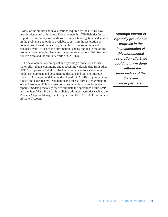Most of the studies and investigations required by the CVPIA have been implemented or initiated. These include the CVP Fisheries Impact Report, Central Valley Wetlands Water Supply Investigation, and studies on the problems and options available to assist in the restoration of populations of anadromous fish, particularly chinook salmon and steelhead trout. Much of the information is being applied in the on-theground efforts being implemented under the Anadromous Fish Restoration Program and the similar efforts of CALFED.

The development of ecological and hydrologic models is another major effort that is continuing and is receiving valuable data from other CVPIA programs and studies. To date, efforts have focused on new model development and documenting the data and logic to improve models. One major model being developed is CALSIM II, jointly being funded and executed by Reclamation and the California Department of Water Resources. This is a reservoir system model that replaces the separate models previously used to simulate the operations of the CVP and the State Water Project. It explicitly addresses activities such as the Vernalis Adaptive Management Program and the CALFED Environmental Water Account.

*Although Interior is rightfully proud of its progress in the implementation of this monumental restoration effort, we could not have done it without the participation of the State and other partners.*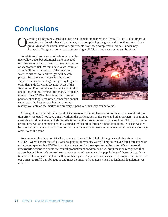## Conclusions

Ver the past 10 years, a great deal has been done to implement the Central Valley Project Improve-<br>ment Act, and Interior is well on the way to accomplishing the goals and objectives set by Congress. Most of the administra ment Act, and Interior is well on the way to accomplishing the goals and objectives set by Congress. Most of the administrative requirements have been completed or are well under way. Renewal of long-term contracts is progressing well. Much, however, remains to be done.

Populations of some races of salmon are on the rise valley-wide, but additional work is needed on other races of salmon and on the other species of anadromous fish. Within a few years, conveyance facilities to deliver all of the necessary water to critical wetland refuges will be completed. But, the annual costs for the water supplies themselves is large and getting larger as other demands for water escalate. Most of the Restoration Fund could soon be dedicated to this one purpose alone, leaving little money available to meet other CVPIA objectives. Purchase of permanent or long-term water, rather than annual supplies, is the best answer but these are not



readily available on the market and are very expensive when they can be found.

Although Interior is rightfully proud of its progress in the implementation of this monumental restoration effort, we could not have done it without the participation of the State and other partners. The monies spent thus far do not even include contributions by other programs and groups such as CALFED and nonprofit conservation organizations. It is abundantly clear that Interior cannot do it alone. Nor can we step back and expect others to do it. Interior must continue with at least the same level of effort and encourage others to do the same.

We cannot at this time predict when, or even if, we will fulfill all of the goals and objectives in the CVPIA. We **will meet** the refuge water supply requirements. We **will help** to recover listed threatened or endangered species, but CVPIA is not the sole savior for those species on the brink. We **will take all reasonable actions** to double the natural production of anadromous fish, but it must be recognized that factors beyond Interior's control exert a very great influence over the populations of these species. Only time will tell how successful we will be in this regard. The public can be assured, however, that we will do our utmost to fulfill our obligations and meet the intent of Congress when this landmark legislation was enacted.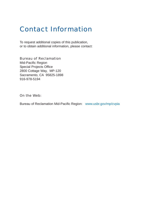## Contact Information

To request additional copies of this publication, or to obtain additional information, please contact:

Bureau of Reclamation Mid-Pacific Region Special Projects Office 2800 Cottage Way, MP-120 Sacramento, CA 95825-1898 916-978-5194

On the Web:

Bureau of Reclamation Mid-Pacific Region: www.usbr.gov/mp/cvpia